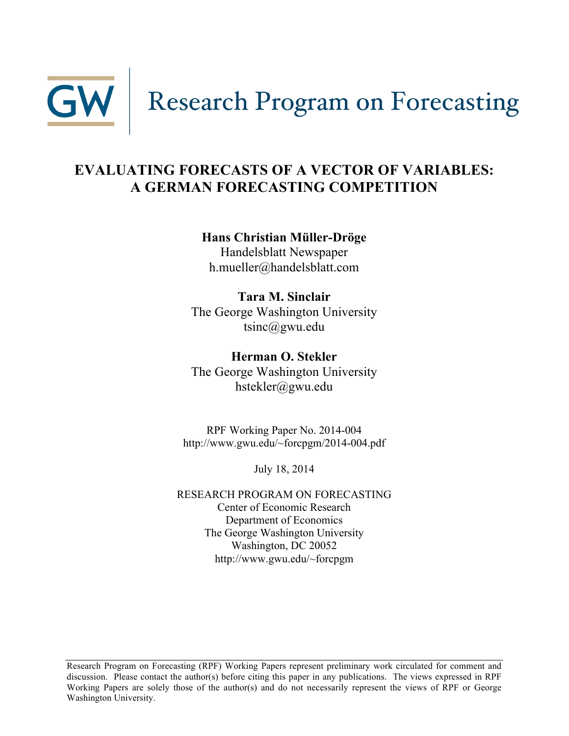

# **EVALUATING FORECASTS OF A VECTOR OF VARIABLES: A GERMAN FORECASTING COMPETITION**

### **Hans Christian Müller-Dröge**

Handelsblatt Newspaper h.mueller@handelsblatt.com

**Tara M. Sinclair** The George Washington University  $t\sin{\alpha}$ gwu.edu

**Herman O. Stekler** The George Washington University hstekler@gwu.edu

RPF Working Paper No. 2014-004 http://www.gwu.edu/~forcpgm/2014-004.pdf

July 18, 2014

RESEARCH PROGRAM ON FORECASTING Center of Economic Research Department of Economics The George Washington University Washington, DC 20052 http://www.gwu.edu/~forcpgm

Research Program on Forecasting (RPF) Working Papers represent preliminary work circulated for comment and discussion. Please contact the author(s) before citing this paper in any publications. The views expressed in RPF Working Papers are solely those of the author(s) and do not necessarily represent the views of RPF or George Washington University.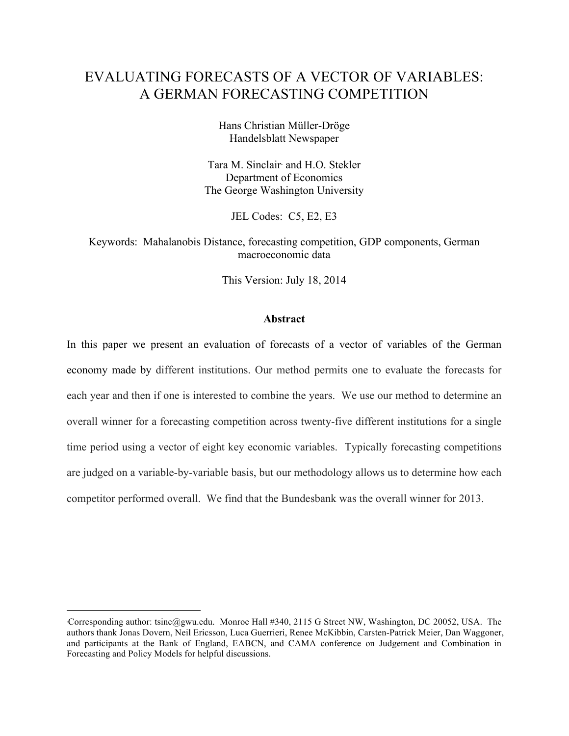## EVALUATING FORECASTS OF A VECTOR OF VARIABLES: A GERMAN FORECASTING COMPETITION

Hans Christian Müller-Dröge Handelsblatt Newspaper

Tara M. Sinclair<sup>∗</sup> and H.O. Stekler Department of Economics The George Washington University

JEL Codes: C5, E2, E3

Keywords: Mahalanobis Distance, forecasting competition, GDP components, German macroeconomic data

This Version: July 18, 2014

#### **Abstract**

In this paper we present an evaluation of forecasts of a vector of variables of the German economy made by different institutions. Our method permits one to evaluate the forecasts for each year and then if one is interested to combine the years. We use our method to determine an overall winner for a forecasting competition across twenty-five different institutions for a single time period using a vector of eight key economic variables. Typically forecasting competitions are judged on a variable-by-variable basis, but our methodology allows us to determine how each competitor performed overall. We find that the Bundesbank was the overall winner for 2013.

 $\overline{a}$ 

<sup>∗</sup> Corresponding author: tsinc@gwu.edu. Monroe Hall #340, 2115 G Street NW, Washington, DC 20052, USA. The authors thank Jonas Dovern, Neil Ericsson, Luca Guerrieri, Renee McKibbin, Carsten-Patrick Meier, Dan Waggoner, and participants at the Bank of England, EABCN, and CAMA conference on Judgement and Combination in Forecasting and Policy Models for helpful discussions.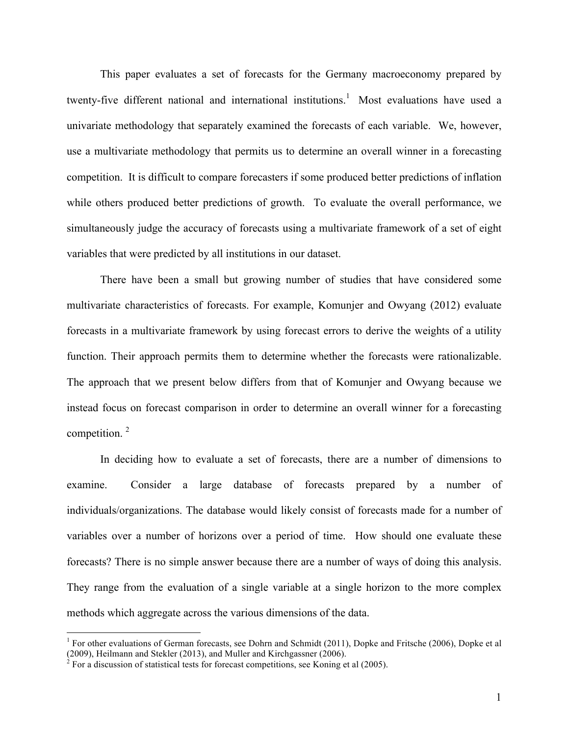This paper evaluates a set of forecasts for the Germany macroeconomy prepared by twenty-five different national and international institutions.<sup>1</sup> Most evaluations have used a univariate methodology that separately examined the forecasts of each variable. We, however, use a multivariate methodology that permits us to determine an overall winner in a forecasting competition. It is difficult to compare forecasters if some produced better predictions of inflation while others produced better predictions of growth. To evaluate the overall performance, we simultaneously judge the accuracy of forecasts using a multivariate framework of a set of eight variables that were predicted by all institutions in our dataset.

There have been a small but growing number of studies that have considered some multivariate characteristics of forecasts. For example, Komunjer and Owyang (2012) evaluate forecasts in a multivariate framework by using forecast errors to derive the weights of a utility function. Their approach permits them to determine whether the forecasts were rationalizable. The approach that we present below differs from that of Komunjer and Owyang because we instead focus on forecast comparison in order to determine an overall winner for a forecasting competition.<sup>2</sup>

In deciding how to evaluate a set of forecasts, there are a number of dimensions to examine. Consider a large database of forecasts prepared by a number of individuals/organizations. The database would likely consist of forecasts made for a number of variables over a number of horizons over a period of time. How should one evaluate these forecasts? There is no simple answer because there are a number of ways of doing this analysis. They range from the evaluation of a single variable at a single horizon to the more complex methods which aggregate across the various dimensions of the data.

<sup>&</sup>lt;sup>1</sup> For other evaluations of German forecasts, see Dohrn and Schmidt (2011), Dopke and Fritsche (2006), Dopke et al (2009), Heilmann and Stekler (2013), and Muller and Kirchgassner (2006). <sup>2</sup> For a discussion of statistical tests for forecast competitions, see Koning et al (2005).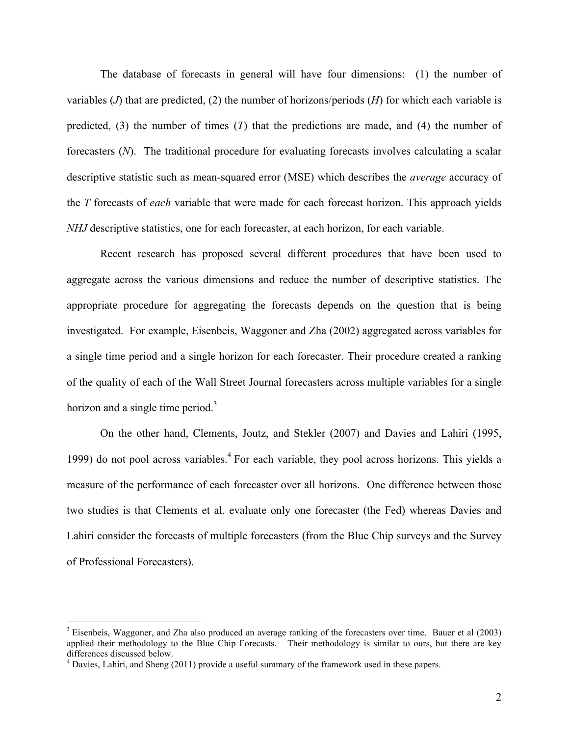The database of forecasts in general will have four dimensions: (1) the number of variables  $(J)$  that are predicted,  $(2)$  the number of horizons/periods  $(H)$  for which each variable is predicted, (3) the number of times (*T*) that the predictions are made, and (4) the number of forecasters (*N*). The traditional procedure for evaluating forecasts involves calculating a scalar descriptive statistic such as mean-squared error (MSE) which describes the *average* accuracy of the *T* forecasts of *each* variable that were made for each forecast horizon. This approach yields *NHJ* descriptive statistics, one for each forecaster, at each horizon, for each variable.

Recent research has proposed several different procedures that have been used to aggregate across the various dimensions and reduce the number of descriptive statistics. The appropriate procedure for aggregating the forecasts depends on the question that is being investigated. For example, Eisenbeis, Waggoner and Zha (2002) aggregated across variables for a single time period and a single horizon for each forecaster. Their procedure created a ranking of the quality of each of the Wall Street Journal forecasters across multiple variables for a single horizon and a single time period.<sup>3</sup>

On the other hand, Clements, Joutz, and Stekler (2007) and Davies and Lahiri (1995, 1999) do not pool across variables.<sup>4</sup> For each variable, they pool across horizons. This yields a measure of the performance of each forecaster over all horizons. One difference between those two studies is that Clements et al. evaluate only one forecaster (the Fed) whereas Davies and Lahiri consider the forecasts of multiple forecasters (from the Blue Chip surveys and the Survey of Professional Forecasters).

 <sup>3</sup> Eisenbeis, Waggoner, and Zha also produced an average ranking of the forecasters over time. Bauer et al (2003) applied their methodology to the Blue Chip Forecasts. Their methodology is similar to ours, but there are key differences discussed below.

<sup>&</sup>lt;sup>4</sup> Davies, Lahiri, and Sheng (2011) provide a useful summary of the framework used in these papers.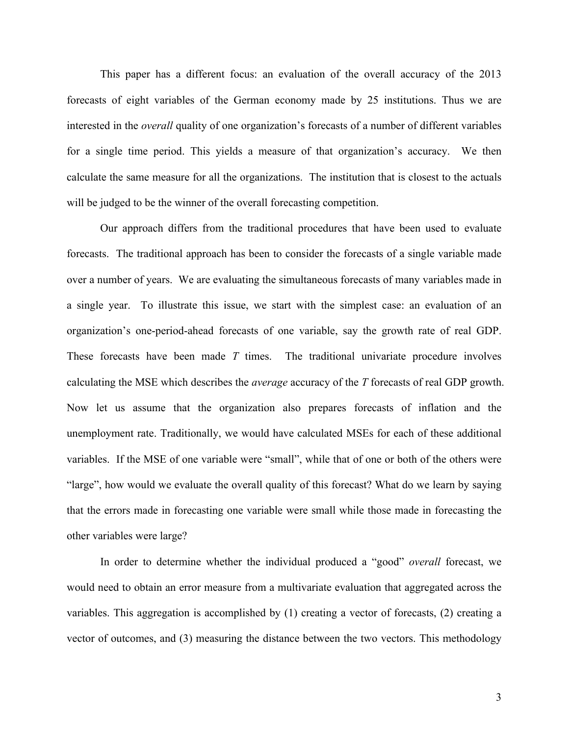This paper has a different focus: an evaluation of the overall accuracy of the 2013 forecasts of eight variables of the German economy made by 25 institutions. Thus we are interested in the *overall* quality of one organization's forecasts of a number of different variables for a single time period. This yields a measure of that organization's accuracy. We then calculate the same measure for all the organizations. The institution that is closest to the actuals will be judged to be the winner of the overall forecasting competition.

Our approach differs from the traditional procedures that have been used to evaluate forecasts. The traditional approach has been to consider the forecasts of a single variable made over a number of years. We are evaluating the simultaneous forecasts of many variables made in a single year. To illustrate this issue, we start with the simplest case: an evaluation of an organization's one-period-ahead forecasts of one variable, say the growth rate of real GDP. These forecasts have been made *T* times. The traditional univariate procedure involves calculating the MSE which describes the *average* accuracy of the *T* forecasts of real GDP growth. Now let us assume that the organization also prepares forecasts of inflation and the unemployment rate. Traditionally, we would have calculated MSEs for each of these additional variables. If the MSE of one variable were "small", while that of one or both of the others were "large", how would we evaluate the overall quality of this forecast? What do we learn by saying that the errors made in forecasting one variable were small while those made in forecasting the other variables were large?

In order to determine whether the individual produced a "good" *overall* forecast, we would need to obtain an error measure from a multivariate evaluation that aggregated across the variables. This aggregation is accomplished by (1) creating a vector of forecasts, (2) creating a vector of outcomes, and (3) measuring the distance between the two vectors. This methodology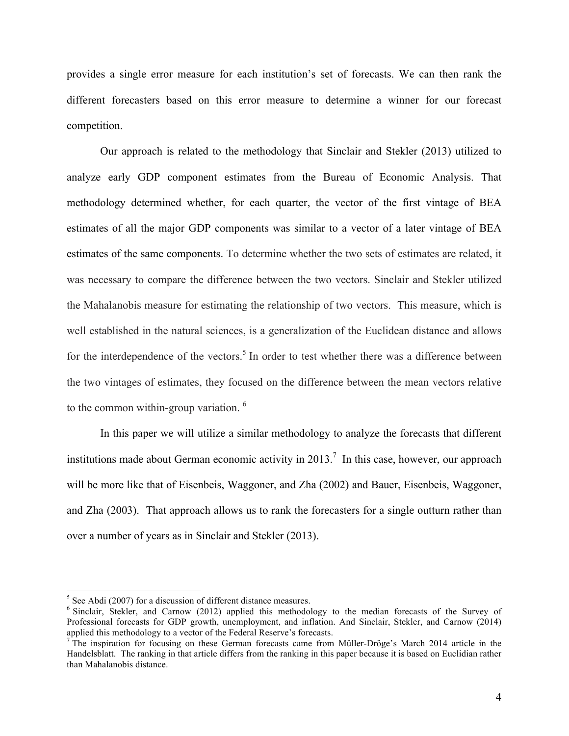provides a single error measure for each institution's set of forecasts. We can then rank the different forecasters based on this error measure to determine a winner for our forecast competition.

Our approach is related to the methodology that Sinclair and Stekler (2013) utilized to analyze early GDP component estimates from the Bureau of Economic Analysis. That methodology determined whether, for each quarter, the vector of the first vintage of BEA estimates of all the major GDP components was similar to a vector of a later vintage of BEA estimates of the same components. To determine whether the two sets of estimates are related, it was necessary to compare the difference between the two vectors. Sinclair and Stekler utilized the Mahalanobis measure for estimating the relationship of two vectors. This measure, which is well established in the natural sciences, is a generalization of the Euclidean distance and allows for the interdependence of the vectors.<sup>5</sup> In order to test whether there was a difference between the two vintages of estimates, they focused on the difference between the mean vectors relative to the common within-group variation.<sup>6</sup>

In this paper we will utilize a similar methodology to analyze the forecasts that different institutions made about German economic activity in 2013.<sup>7</sup> In this case, however, our approach will be more like that of Eisenbeis, Waggoner, and Zha (2002) and Bauer, Eisenbeis, Waggoner, and Zha (2003). That approach allows us to rank the forecasters for a single outturn rather than over a number of years as in Sinclair and Stekler (2013).

<sup>&</sup>lt;sup>5</sup> See Abdi (2007) for a discussion of different distance measures.<br><sup>6</sup> Sinclair, Stekler, and Carnow (2012) applied this methodology to the median forecasts of the Survey of Professional forecasts for GDP growth, unemployment, and inflation. And Sinclair, Stekler, and Carnow (2014) applied this methodology to a vector of the Federal Reserve's forecasts.

 $\tau$  The inspiration for focusing on these German forecasts came from Müller-Dröge's March 2014 article in the Handelsblatt. The ranking in that article differs from the ranking in this paper because it is based on Euclidian rather than Mahalanobis distance.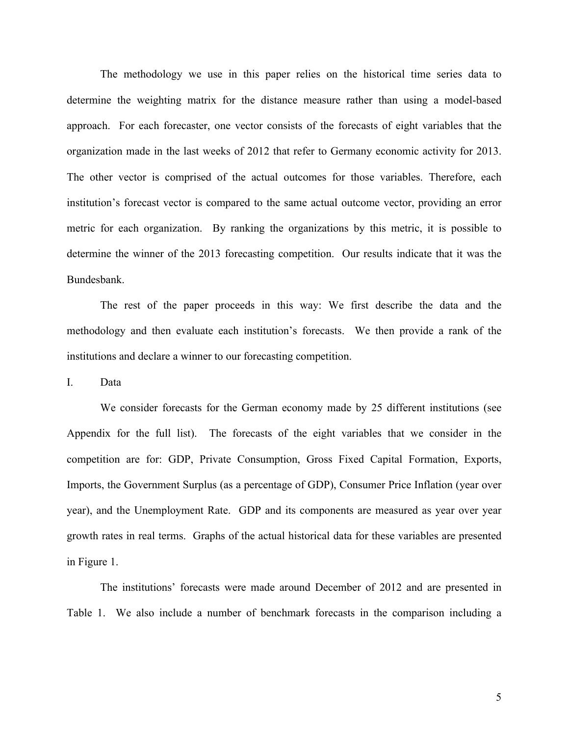The methodology we use in this paper relies on the historical time series data to determine the weighting matrix for the distance measure rather than using a model-based approach. For each forecaster, one vector consists of the forecasts of eight variables that the organization made in the last weeks of 2012 that refer to Germany economic activity for 2013. The other vector is comprised of the actual outcomes for those variables. Therefore, each institution's forecast vector is compared to the same actual outcome vector, providing an error metric for each organization. By ranking the organizations by this metric, it is possible to determine the winner of the 2013 forecasting competition. Our results indicate that it was the Bundesbank.

The rest of the paper proceeds in this way: We first describe the data and the methodology and then evaluate each institution's forecasts. We then provide a rank of the institutions and declare a winner to our forecasting competition.

I. Data

We consider forecasts for the German economy made by 25 different institutions (see Appendix for the full list).The forecasts of the eight variables that we consider in the competition are for: GDP, Private Consumption, Gross Fixed Capital Formation, Exports, Imports, the Government Surplus (as a percentage of GDP), Consumer Price Inflation (year over year), and the Unemployment Rate. GDP and its components are measured as year over year growth rates in real terms. Graphs of the actual historical data for these variables are presented in Figure 1.

The institutions' forecasts were made around December of 2012 and are presented in Table 1. We also include a number of benchmark forecasts in the comparison including a

5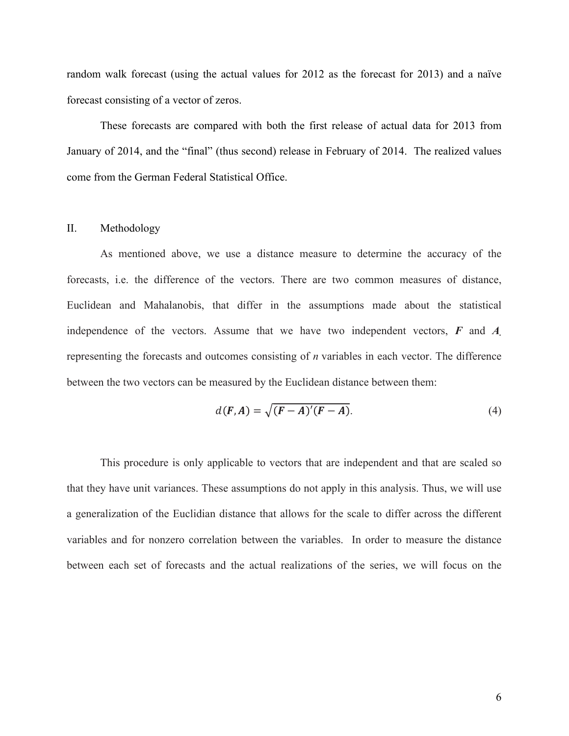random walk forecast (using the actual values for 2012 as the forecast for 2013) and a naïve forecast consisting of a vector of zeros.

These forecasts are compared with both the first release of actual data for 2013 from January of 2014, and the "final" (thus second) release in February of 2014. The realized values come from the German Federal Statistical Office.

#### II. Methodology

As mentioned above, we use a distance measure to determine the accuracy of the forecasts, i.e. the difference of the vectors. There are two common measures of distance, Euclidean and Mahalanobis, that differ in the assumptions made about the statistical independence of the vectors. Assume that we have two independent vectors, *F* and *A.* representing the forecasts and outcomes consisting of *n* variables in each vector. The difference between the two vectors can be measured by the Euclidean distance between them:

$$
d(F,A) = \sqrt{(F-A)'(F-A)}.
$$
\n(4)

This procedure is only applicable to vectors that are independent and that are scaled so that they have unit variances. These assumptions do not apply in this analysis. Thus, we will use a generalization of the Euclidian distance that allows for the scale to differ across the different variables and for nonzero correlation between the variables. In order to measure the distance between each set of forecasts and the actual realizations of the series, we will focus on the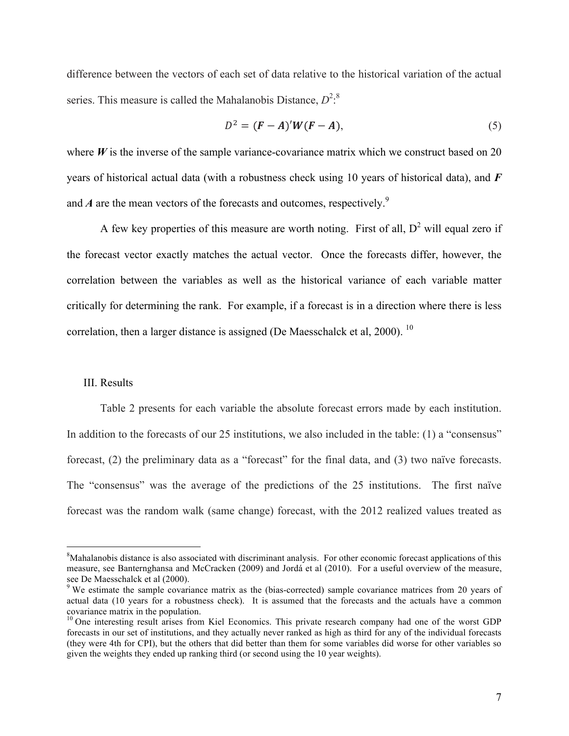difference between the vectors of each set of data relative to the historical variation of the actual series. This measure is called the Mahalanobis Distance,  $D^{2.8}$ 

$$
D2 = (F - A)'W(F - A),
$$
\n<sup>(5)</sup>

where  $W$  is the inverse of the sample variance-covariance matrix which we construct based on 20 years of historical actual data (with a robustness check using 10 years of historical data), and *F* and  $A$  are the mean vectors of the forecasts and outcomes, respectively.<sup>9</sup>

A few key properties of this measure are worth noting. First of all,  $D^2$  will equal zero if the forecast vector exactly matches the actual vector. Once the forecasts differ, however, the correlation between the variables as well as the historical variance of each variable matter critically for determining the rank. For example, if a forecast is in a direction where there is less correlation, then a larger distance is assigned (De Maesschalck et al,  $2000$ ). <sup>10</sup>

#### III. Results

Table 2 presents for each variable the absolute forecast errors made by each institution. In addition to the forecasts of our 25 institutions, we also included in the table: (1) a "consensus" forecast, (2) the preliminary data as a "forecast" for the final data, and (3) two naïve forecasts. The "consensus" was the average of the predictions of the 25 institutions. The first naïve forecast was the random walk (same change) forecast, with the 2012 realized values treated as

 <sup>8</sup> <sup>8</sup>Mahalanobis distance is also associated with discriminant analysis. For other economic forecast applications of this measure, see Banternghansa and McCracken (2009) and Jordá et al (2010). For a useful overview of the measure, see De Maesschalck et al (2000).<br><sup>9</sup> We estimate the sample covariance matrix as the (bias-corrected) sample covariance matrices from 20 years of

actual data (10 years for a robustness check). It is assumed that the forecasts and the actuals have a common covariance matrix in the population.<br><sup>10</sup> One interesting result arises from Kiel Economics. This private research company had one of the worst GDP

forecasts in our set of institutions, and they actually never ranked as high as third for any of the individual forecasts (they were 4th for CPI), but the others that did better than them for some variables did worse for other variables so given the weights they ended up ranking third (or second using the 10 year weights).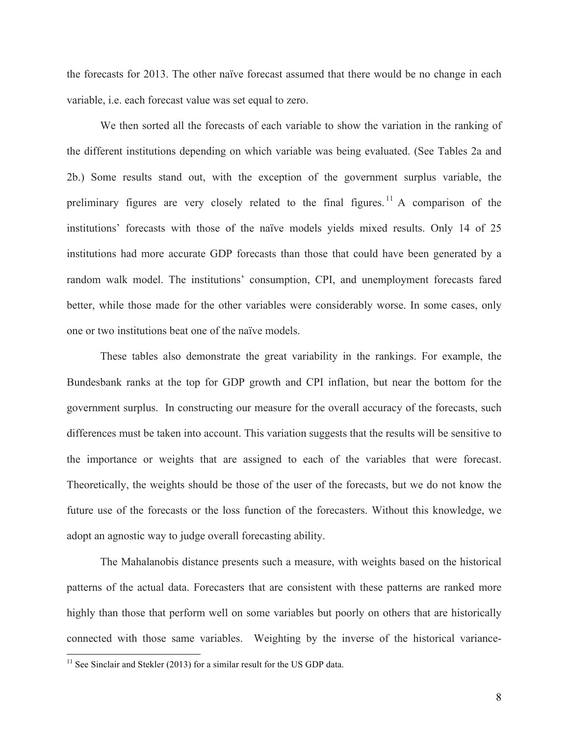the forecasts for 2013. The other naïve forecast assumed that there would be no change in each variable, i.e. each forecast value was set equal to zero.

We then sorted all the forecasts of each variable to show the variation in the ranking of the different institutions depending on which variable was being evaluated. (See Tables 2a and 2b.) Some results stand out, with the exception of the government surplus variable, the preliminary figures are very closely related to the final figures.<sup>11</sup> A comparison of the institutions' forecasts with those of the naïve models yields mixed results. Only 14 of 25 institutions had more accurate GDP forecasts than those that could have been generated by a random walk model. The institutions' consumption, CPI, and unemployment forecasts fared better, while those made for the other variables were considerably worse. In some cases, only one or two institutions beat one of the naïve models.

These tables also demonstrate the great variability in the rankings. For example, the Bundesbank ranks at the top for GDP growth and CPI inflation, but near the bottom for the government surplus. In constructing our measure for the overall accuracy of the forecasts, such differences must be taken into account. This variation suggests that the results will be sensitive to the importance or weights that are assigned to each of the variables that were forecast. Theoretically, the weights should be those of the user of the forecasts, but we do not know the future use of the forecasts or the loss function of the forecasters. Without this knowledge, we adopt an agnostic way to judge overall forecasting ability.

The Mahalanobis distance presents such a measure, with weights based on the historical patterns of the actual data. Forecasters that are consistent with these patterns are ranked more highly than those that perform well on some variables but poorly on others that are historically connected with those same variables. Weighting by the inverse of the historical variance-

 $11$  See Sinclair and Stekler (2013) for a similar result for the US GDP data.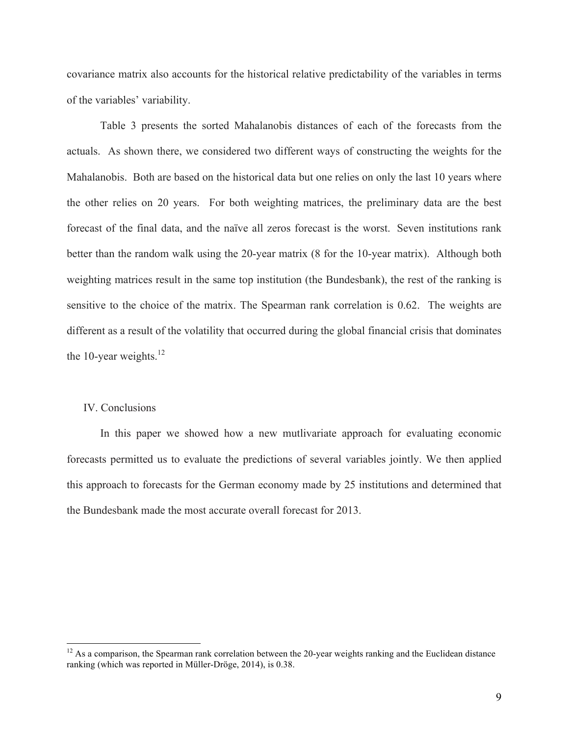covariance matrix also accounts for the historical relative predictability of the variables in terms of the variables' variability.

Table 3 presents the sorted Mahalanobis distances of each of the forecasts from the actuals. As shown there, we considered two different ways of constructing the weights for the Mahalanobis. Both are based on the historical data but one relies on only the last 10 years where the other relies on 20 years. For both weighting matrices, the preliminary data are the best forecast of the final data, and the naïve all zeros forecast is the worst. Seven institutions rank better than the random walk using the 20-year matrix (8 for the 10-year matrix). Although both weighting matrices result in the same top institution (the Bundesbank), the rest of the ranking is sensitive to the choice of the matrix. The Spearman rank correlation is 0.62. The weights are different as a result of the volatility that occurred during the global financial crisis that dominates the 10-year weights. $^{12}$ 

#### IV. Conclusions

In this paper we showed how a new mutlivariate approach for evaluating economic forecasts permitted us to evaluate the predictions of several variables jointly. We then applied this approach to forecasts for the German economy made by 25 institutions and determined that the Bundesbank made the most accurate overall forecast for 2013.

<sup>&</sup>lt;sup>12</sup> As a comparison, the Spearman rank correlation between the 20-year weights ranking and the Euclidean distance ranking (which was reported in Müller-Dröge, 2014), is 0.38.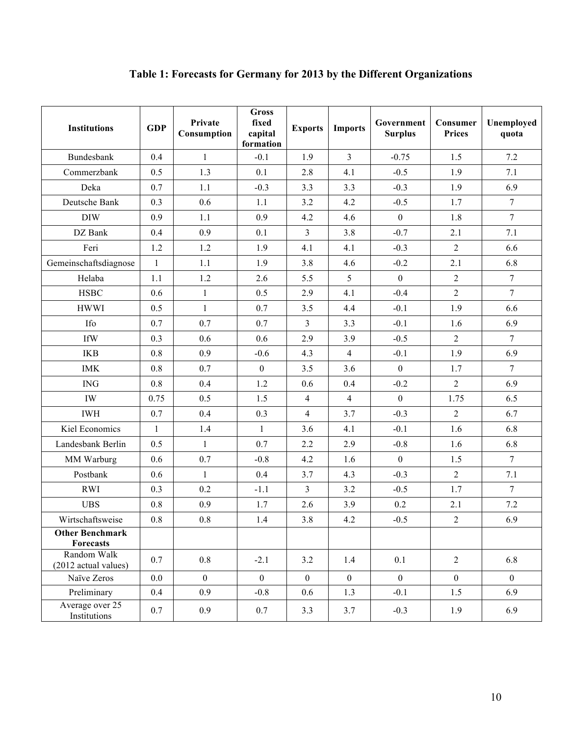| <b>Institutions</b>                 | <b>GDP</b>   | Private<br>Consumption | <b>Gross</b><br>fixed<br>capital<br>formation | <b>Exports</b> | <b>Imports</b> | Government<br><b>Surplus</b> | Consumer<br><b>Prices</b> | Unemployed<br>quota |
|-------------------------------------|--------------|------------------------|-----------------------------------------------|----------------|----------------|------------------------------|---------------------------|---------------------|
| Bundesbank                          | 0.4          | $\mathbf{1}$           | $-0.1$                                        | 1.9            | $\overline{3}$ | $-0.75$                      | 1.5                       | 7.2                 |
| Commerzbank                         | 0.5          | 1.3                    | 0.1                                           | 2.8            | 4.1            | $-0.5$                       | 1.9                       | 7.1                 |
| Deka                                | 0.7          | 1.1                    | $-0.3$                                        | 3.3            | 3.3            | $-0.3$                       | 1.9                       | 6.9                 |
| Deutsche Bank                       | 0.3          | 0.6                    | 1.1                                           | 3.2            | 4.2            | $-0.5$                       | 1.7                       | $\tau$              |
| <b>DIW</b>                          | 0.9          | 1.1                    | 0.9                                           | 4.2            | 4.6            | $\boldsymbol{0}$             | 1.8                       | $\overline{7}$      |
| DZ Bank                             | 0.4          | 0.9                    | 0.1                                           | $\overline{3}$ | 3.8            | $-0.7$                       | 2.1                       | 7.1                 |
| Feri                                | 1.2          | 1.2                    | 1.9                                           | 4.1            | 4.1            | $-0.3$                       | $\overline{2}$            | 6.6                 |
| Gemeinschaftsdiagnose               | $\mathbf{1}$ | 1.1                    | 1.9                                           | 3.8            | 4.6            | $-0.2$                       | 2.1                       | 6.8                 |
| Helaba                              | 1.1          | 1.2                    | 2.6                                           | 5.5            | 5              | $\theta$                     | $\overline{2}$            | $\tau$              |
| <b>HSBC</b>                         | 0.6          | $\mathbf{1}$           | 0.5                                           | 2.9            | 4.1            | $-0.4$                       | $\overline{2}$            | $\tau$              |
| <b>HWWI</b>                         | 0.5          | $\mathbf{1}$           | 0.7                                           | 3.5            | 4.4            | $-0.1$                       | 1.9                       | 6.6                 |
| Ifo                                 | 0.7          | 0.7                    | 0.7                                           | $\overline{3}$ | 3.3            | $-0.1$                       | 1.6                       | 6.9                 |
| <b>IfW</b>                          | 0.3          | 0.6                    | 0.6                                           | 2.9            | 3.9            | $-0.5$                       | $\sqrt{2}$                | $\boldsymbol{7}$    |
| <b>IKB</b>                          | 0.8          | 0.9                    | $-0.6$                                        | 4.3            | $\overline{4}$ | $-0.1$                       | 1.9                       | 6.9                 |
| <b>IMK</b>                          | 0.8          | 0.7                    | $\mathbf{0}$                                  | 3.5            | 3.6            | $\mathbf{0}$                 | 1.7                       | $\overline{7}$      |
| <b>ING</b>                          | 0.8          | 0.4                    | 1.2                                           | 0.6            | 0.4            | $-0.2$                       | $\overline{2}$            | 6.9                 |
| IW                                  | 0.75         | 0.5                    | 1.5                                           | $\overline{4}$ | $\overline{4}$ | $\mathbf{0}$                 | 1.75                      | 6.5                 |
| <b>IWH</b>                          | 0.7          | 0.4                    | 0.3                                           | $\overline{4}$ | 3.7            | $-0.3$                       | $\overline{2}$            | 6.7                 |
| Kiel Economics                      | $\mathbf{1}$ | 1.4                    | $\mathbf{1}$                                  | 3.6            | 4.1            | $-0.1$                       | 1.6                       | 6.8                 |
| Landesbank Berlin                   | 0.5          | $\mathbf{1}$           | 0.7                                           | 2.2            | 2.9            | $-0.8$                       | 1.6                       | 6.8                 |
| MM Warburg                          | 0.6          | 0.7                    | $-0.8$                                        | 4.2            | 1.6            | $\mathbf{0}$                 | 1.5                       | $\tau$              |
| Postbank                            | 0.6          | $\mathbf{1}$           | 0.4                                           | 3.7            | 4.3            | $-0.3$                       | $\overline{2}$            | 7.1                 |
| <b>RWI</b>                          | 0.3          | 0.2                    | $-1.1$                                        | $\overline{3}$ | 3.2            | $-0.5$                       | 1.7                       | $\overline{7}$      |
| <b>UBS</b>                          | 0.8          | 0.9                    | 1.7                                           | 2.6            | 3.9            | 0.2                          | 2.1                       | $7.2\,$             |
| Wirtschaftsweise                    | $0.8\,$      | $0.8\,$                | 1.4                                           | $3.8\,$        | 4.2            | $-0.5$                       | $\boldsymbol{2}$          | 6.9                 |
| <b>Other Benchmark</b><br>Forecasts |              |                        |                                               |                |                |                              |                           |                     |
| Random Walk<br>(2012 actual values) | 0.7          | $0.8\,$                | $-2.1$                                        | 3.2            | 1.4            | 0.1                          | $\overline{2}$            | 6.8                 |
| Naïve Zeros                         | 0.0          | $\boldsymbol{0}$       | $\boldsymbol{0}$                              | $\mathbf{0}$   | $\mathbf{0}$   | $\mathbf{0}$                 | $\boldsymbol{0}$          | $\mathbf{0}$        |
| Preliminary                         | 0.4          | 0.9                    | $-0.8$                                        | 0.6            | 1.3            | $-0.1$                       | 1.5                       | 6.9                 |
| Average over 25<br>Institutions     | 0.7          | 0.9                    | 0.7                                           | 3.3            | 3.7            | $-0.3$                       | 1.9                       | 6.9                 |

# **Table 1: Forecasts for Germany for 2013 by the Different Organizations**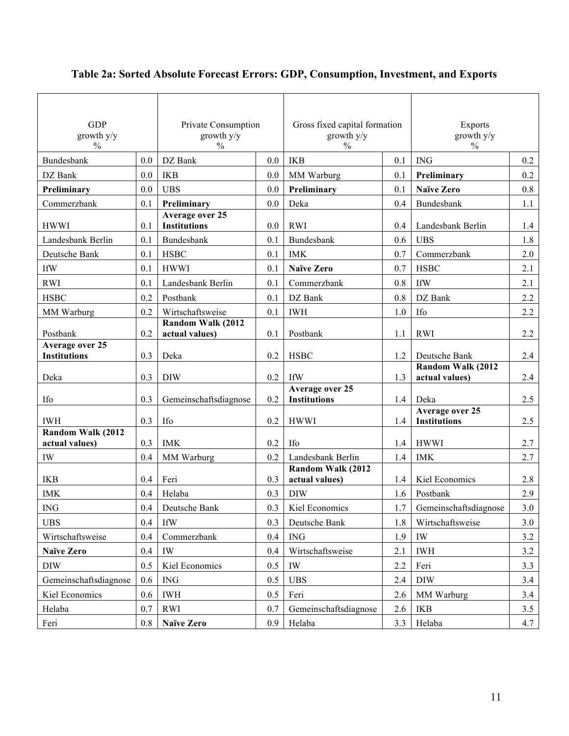| <b>GDP</b><br>growth y/y<br>$\frac{0}{0}$ |         | Private Consumption<br>growth y/y<br>$\%$ |     | Gross fixed capital formation<br>growth y/y<br>$\%$ |     | Exports<br>growth y/y<br>$\%$          |     |
|-------------------------------------------|---------|-------------------------------------------|-----|-----------------------------------------------------|-----|----------------------------------------|-----|
| Bundesbank                                | 0.0     | DZ Bank                                   | 0.0 | <b>IKB</b>                                          | 0.1 | <b>ING</b>                             | 0.2 |
| DZ Bank                                   | 0.0     | <b>IKB</b>                                | 0.0 | MM Warburg                                          | 0.1 | Preliminary                            | 0.2 |
| Preliminary                               | 0.0     | <b>UBS</b>                                | 0.0 | Preliminary                                         | 0.1 | <b>Naïve Zero</b>                      | 0.8 |
| Commerzbank                               | 0.1     | Preliminary                               | 0.0 | Deka                                                | 0.4 | Bundesbank                             | 1.1 |
| <b>HWWI</b>                               | 0.1     | Average over 25<br><b>Institutions</b>    | 0.0 | <b>RWI</b>                                          | 0.4 | Landesbank Berlin                      | 1.4 |
| Landesbank Berlin                         | 0.1     | Bundesbank                                | 0.1 | Bundesbank                                          | 0.6 | <b>UBS</b>                             | 1.8 |
| Deutsche Bank                             | 0.1     | <b>HSBC</b>                               | 0.1 | <b>IMK</b>                                          | 0.7 | Commerzbank                            | 2.0 |
| <b>IfW</b>                                | 0.1     | <b>HWWI</b>                               | 0.1 | <b>Naïve Zero</b>                                   | 0.7 | <b>HSBC</b>                            | 2.1 |
| <b>RWI</b>                                | 0.1     | Landesbank Berlin                         | 0.1 | Commerzbank                                         | 0.8 | <b>IfW</b>                             | 2.1 |
| <b>HSBC</b>                               | 0.2     | Postbank                                  | 0.1 | DZ Bank                                             | 0.8 | DZ Bank                                | 2.2 |
| MM Warburg                                | 0.2     | Wirtschaftsweise                          | 0.1 | <b>IWH</b>                                          | 1.0 | <b>Ifo</b>                             | 2.2 |
| Postbank                                  | 0.2     | Random Walk (2012<br>actual values)       | 0.1 | Postbank                                            | 1.1 | <b>RWI</b>                             | 2.2 |
| Average over 25<br><b>Institutions</b>    | 0.3     | Deka                                      | 0.2 | <b>HSBC</b>                                         | 1.2 | Deutsche Bank                          | 2.4 |
| Deka                                      | 0.3     | <b>DIW</b>                                | 0.2 | <b>IfW</b>                                          | 1.3 | Random Walk (2012<br>actual values)    | 2.4 |
| Ifo                                       | 0.3     | Gemeinschaftsdiagnose                     | 0.2 | Average over 25<br><b>Institutions</b>              | 1.4 | Deka                                   | 2.5 |
| <b>IWH</b>                                | 0.3     | Ifo                                       | 0.2 | <b>HWWI</b>                                         | 1.4 | Average over 25<br><b>Institutions</b> | 2.5 |
| Random Walk (2012<br>actual values)       | 0.3     | <b>IMK</b>                                | 0.2 | <b>Ifo</b>                                          | 1.4 | <b>HWWI</b>                            | 2.7 |
| IW                                        | 0.4     | MM Warburg                                | 0.2 | Landesbank Berlin                                   | 1.4 | <b>IMK</b>                             | 2.7 |
| <b>IKB</b>                                | 0.4     | Feri                                      | 0.3 | Random Walk (2012<br>actual values)                 | 1.4 | Kiel Economics                         | 2.8 |
| <b>IMK</b>                                | 0.4     | Helaba                                    | 0.3 | <b>DIW</b>                                          | 1.6 | Postbank                               | 2.9 |
| $\rm{ING}$                                | 0.4     | Deutsche Bank                             | 0.3 | Kiel Economics                                      | 1.7 | Gemeinschaftsdiagnose                  | 3.0 |
| <b>UBS</b>                                | 0.4     | <b>IfW</b>                                | 0.3 | Deutsche Bank                                       | 1.8 | Wirtschaftsweise                       | 3.0 |
| Wirtschaftsweise                          | 0.4     | Commerzbank                               | 0.4 | $\rm{ING}$                                          | 1.9 | IW                                     | 3.2 |
| <b>Naïve Zero</b>                         | 0.4     | IW                                        | 0.4 | Wirtschaftsweise                                    | 2.1 | <b>IWH</b>                             | 3.2 |
| <b>DIW</b>                                | 0.5     | Kiel Economics                            | 0.5 | IW                                                  | 2.2 | Feri                                   | 3.3 |
| Gemeinschaftsdiagnose                     | 0.6     | <b>ING</b>                                | 0.5 | <b>UBS</b>                                          | 2.4 | <b>DIW</b>                             | 3.4 |
| Kiel Economics                            | 0.6     | <b>IWH</b>                                | 0.5 | Feri                                                | 2.6 | MM Warburg                             | 3.4 |
| Helaba                                    | 0.7     | <b>RWI</b>                                | 0.7 | Gemeinschaftsdiagnose                               | 2.6 | <b>IKB</b>                             | 3.5 |
| Feri                                      | $0.8\,$ | <b>Naïve Zero</b>                         | 0.9 | Helaba                                              | 3.3 | Helaba                                 | 4.7 |

# **Table 2a: Sorted Absolute Forecast Errors: GDP, Consumption, Investment, and Exports**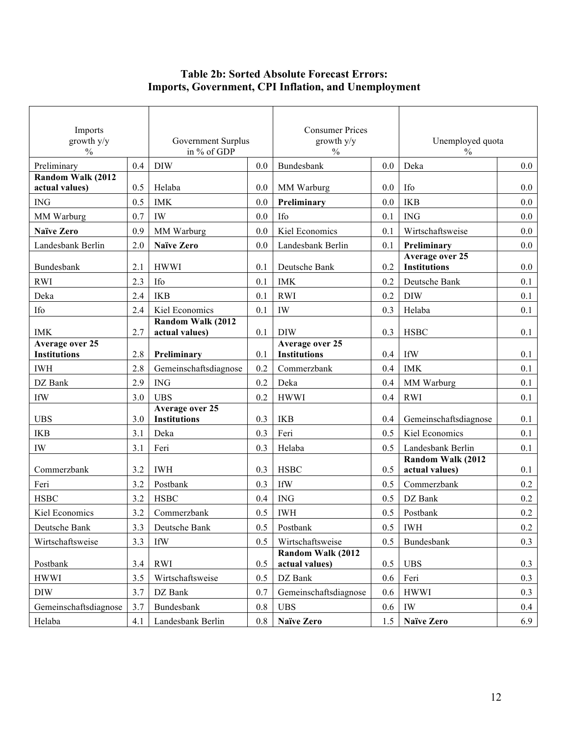### **Table 2b: Sorted Absolute Forecast Errors: Imports, Government, CPI Inflation, and Unemployment**

| Imports<br>growth y/y<br>$\%$          |     | Government Surplus<br>in % of GDP |         | <b>Consumer Prices</b><br>growth y/y<br>$\frac{0}{0}$ |     | Unemployed quota<br>$\frac{0}{0}$      |     |
|----------------------------------------|-----|-----------------------------------|---------|-------------------------------------------------------|-----|----------------------------------------|-----|
| Preliminary                            | 0.4 | <b>DIW</b>                        | 0.0     | Bundesbank                                            | 0.0 | Deka                                   | 0.0 |
| Random Walk (2012                      |     |                                   |         |                                                       |     |                                        |     |
| actual values)                         | 0.5 | Helaba                            | 0.0     | MM Warburg                                            | 0.0 | Ifo                                    | 0.0 |
| <b>ING</b>                             | 0.5 | <b>IMK</b>                        | 0.0     | Preliminary                                           | 0.0 | <b>IKB</b>                             | 0.0 |
| MM Warburg                             | 0.7 | IW                                | 0.0     | Ifo                                                   | 0.1 | <b>ING</b>                             | 0.0 |
| <b>Naïve Zero</b>                      | 0.9 | MM Warburg                        | 0.0     | Kiel Economics                                        | 0.1 | Wirtschaftsweise                       | 0.0 |
| Landesbank Berlin                      | 2.0 | <b>Naïve Zero</b>                 | 0.0     | Landesbank Berlin                                     | 0.1 | Preliminary                            | 0.0 |
| Bundesbank                             | 2.1 | <b>HWWI</b>                       | 0.1     | Deutsche Bank                                         | 0.2 | Average over 25<br><b>Institutions</b> | 0.0 |
| <b>RWI</b>                             | 2.3 | Ifo                               | 0.1     | <b>IMK</b>                                            | 0.2 | Deutsche Bank                          | 0.1 |
| Deka                                   | 2.4 | <b>IKB</b>                        | 0.1     | <b>RWI</b>                                            | 0.2 | <b>DIW</b>                             | 0.1 |
| <b>Ifo</b>                             | 2.4 | Kiel Economics                    | 0.1     | IW                                                    | 0.3 | Helaba                                 | 0.1 |
|                                        |     | Random Walk (2012                 |         |                                                       |     |                                        |     |
| <b>IMK</b>                             | 2.7 | actual values)                    | 0.1     | <b>DIW</b>                                            | 0.3 | <b>HSBC</b>                            | 0.1 |
| Average over 25<br><b>Institutions</b> | 2.8 | Preliminary                       | 0.1     | Average over 25<br><b>Institutions</b>                | 0.4 | IfW                                    | 0.1 |
| <b>IWH</b>                             | 2.8 | Gemeinschaftsdiagnose             | 0.2     | Commerzbank                                           | 0.4 | <b>IMK</b>                             | 0.1 |
| DZ Bank                                | 2.9 | <b>ING</b>                        | 0.2     | Deka                                                  | 0.4 | MM Warburg                             | 0.1 |
| <b>IfW</b>                             | 3.0 | <b>UBS</b>                        | 0.2     | <b>HWWI</b>                                           | 0.4 | <b>RWI</b>                             | 0.1 |
|                                        |     | Average over 25                   |         |                                                       |     |                                        |     |
| <b>UBS</b>                             | 3.0 | <b>Institutions</b>               | 0.3     | <b>IKB</b>                                            | 0.4 | Gemeinschaftsdiagnose                  | 0.1 |
| <b>IKB</b>                             | 3.1 | Deka                              | 0.3     | Feri                                                  | 0.5 | Kiel Economics                         | 0.1 |
| IW                                     | 3.1 | Feri                              | 0.3     | Helaba                                                | 0.5 | Landesbank Berlin                      | 0.1 |
| Commerzbank                            | 3.2 | <b>IWH</b>                        | 0.3     | <b>HSBC</b>                                           | 0.5 | Random Walk (2012<br>actual values)    | 0.1 |
| Feri                                   | 3.2 | Postbank                          | 0.3     | <b>IfW</b>                                            | 0.5 | Commerzbank                            | 0.2 |
| <b>HSBC</b>                            | 3.2 | <b>HSBC</b>                       | 0.4     | <b>ING</b>                                            | 0.5 | DZ Bank                                | 0.2 |
| Kiel Economics                         | 3.2 | Commerzbank                       | 0.5     | <b>IWH</b>                                            | 0.5 | Postbank                               | 0.2 |
| Deutsche Bank                          | 3.3 | Deutsche Bank                     | 0.5     | Postbank                                              | 0.5 | <b>IWH</b>                             | 0.2 |
| Wirtschaftsweise                       | 3.3 | <b>IfW</b>                        | 0.5     | Wirtschaftsweise                                      | 0.5 | Bundesbank                             | 0.3 |
|                                        |     |                                   |         | Random Walk (2012                                     |     |                                        |     |
| Postbank                               | 3.4 | <b>RWI</b>                        | 0.5     | actual values)                                        | 0.5 | <b>UBS</b>                             | 0.3 |
| <b>HWWI</b>                            | 3.5 | Wirtschaftsweise                  | 0.5     | DZ Bank                                               | 0.6 | Feri                                   | 0.3 |
| <b>DIW</b>                             | 3.7 | DZ Bank                           | 0.7     | Gemeinschaftsdiagnose                                 | 0.6 | <b>HWWI</b>                            | 0.3 |
| Gemeinschaftsdiagnose                  | 3.7 | Bundesbank                        | $0.8\,$ | <b>UBS</b>                                            | 0.6 | IW                                     | 0.4 |
| Helaba                                 | 4.1 | Landesbank Berlin                 | $0.8\,$ | <b>Naïve Zero</b>                                     | 1.5 | <b>Naïve Zero</b>                      | 6.9 |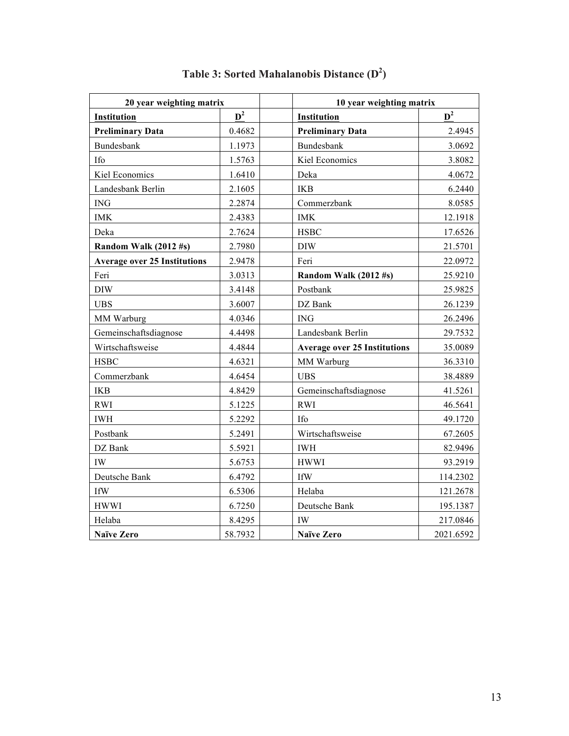| 20 year weighting matrix            |         | 10 year weighting matrix            |           |  |  |
|-------------------------------------|---------|-------------------------------------|-----------|--|--|
| Institution                         | $D^2$   | Institution                         | $D^2$     |  |  |
| <b>Preliminary Data</b>             | 0.4682  | <b>Preliminary Data</b>             | 2.4945    |  |  |
| Bundesbank                          | 1.1973  | <b>Bundesbank</b>                   | 3.0692    |  |  |
| Ifo                                 | 1.5763  | Kiel Economics                      | 3.8082    |  |  |
| Kiel Economics                      | 1.6410  | Deka                                | 4.0672    |  |  |
| Landesbank Berlin                   | 2.1605  | <b>IKB</b>                          | 6.2440    |  |  |
| ING                                 | 2.2874  | Commerzbank                         | 8.0585    |  |  |
| <b>IMK</b>                          | 2.4383  | <b>IMK</b>                          | 12.1918   |  |  |
| Deka                                | 2.7624  | <b>HSBC</b>                         | 17.6526   |  |  |
| Random Walk (2012 #s)               | 2.7980  | <b>DIW</b>                          | 21.5701   |  |  |
| <b>Average over 25 Institutions</b> | 2.9478  | Feri                                | 22.0972   |  |  |
| Feri                                | 3.0313  | Random Walk (2012 #s)               | 25.9210   |  |  |
| <b>DIW</b>                          | 3.4148  | Postbank                            | 25.9825   |  |  |
| <b>UBS</b>                          | 3.6007  | DZ Bank                             | 26.1239   |  |  |
| MM Warburg                          | 4.0346  | <b>ING</b>                          | 26.2496   |  |  |
| Gemeinschaftsdiagnose               | 4.4498  | Landesbank Berlin                   | 29.7532   |  |  |
| Wirtschaftsweise                    | 4.4844  | <b>Average over 25 Institutions</b> | 35.0089   |  |  |
| <b>HSBC</b>                         | 4.6321  | MM Warburg                          | 36.3310   |  |  |
| Commerzbank                         | 4.6454  | <b>UBS</b>                          | 38.4889   |  |  |
| <b>IKB</b>                          | 4.8429  | Gemeinschaftsdiagnose               | 41.5261   |  |  |
| <b>RWI</b>                          | 5.1225  | <b>RWI</b>                          | 46.5641   |  |  |
| <b>IWH</b>                          | 5.2292  | <b>Ifo</b>                          | 49.1720   |  |  |
| Postbank                            | 5.2491  | Wirtschaftsweise                    | 67.2605   |  |  |
| DZ Bank                             | 5.5921  | <b>IWH</b>                          | 82.9496   |  |  |
| <b>IW</b>                           | 5.6753  | <b>HWWI</b>                         | 93.2919   |  |  |
| Deutsche Bank                       | 6.4792  | <b>IfW</b>                          | 114.2302  |  |  |
| <b>IfW</b>                          | 6.5306  | Helaba                              | 121.2678  |  |  |
| <b>HWWI</b>                         | 6.7250  | Deutsche Bank                       | 195.1387  |  |  |
| Helaba                              | 8.4295  | IW                                  | 217.0846  |  |  |
| <b>Naïve Zero</b>                   | 58.7932 | <b>Naïve Zero</b>                   | 2021.6592 |  |  |

### **Table 3: Sorted Mahalanobis Distance (D<sup>2</sup> )**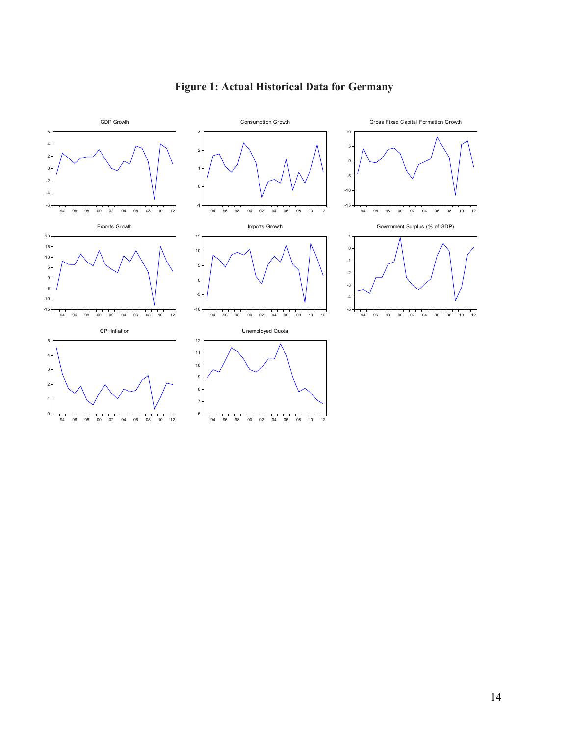

# **Figure 1: Actual Historical Data for Germany**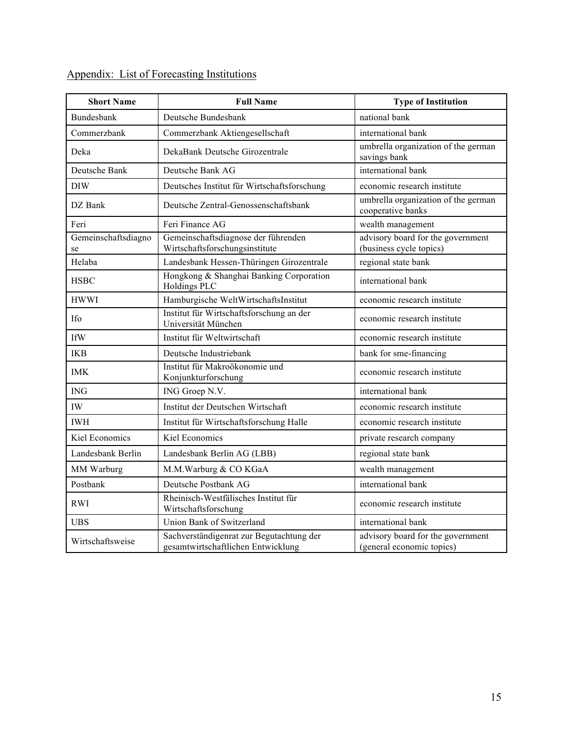| <b>Short Name</b>         | <b>Full Name</b>                                                               | <b>Type of Institution</b>                                     |  |  |
|---------------------------|--------------------------------------------------------------------------------|----------------------------------------------------------------|--|--|
| <b>Bundesbank</b>         | Deutsche Bundesbank                                                            | national bank                                                  |  |  |
| Commerzbank               | Commerzbank Aktiengesellschaft                                                 | international bank                                             |  |  |
| Deka                      | DekaBank Deutsche Girozentrale                                                 | umbrella organization of the german<br>savings bank            |  |  |
| Deutsche Bank             | Deutsche Bank AG                                                               | international bank                                             |  |  |
| <b>DIW</b>                | Deutsches Institut für Wirtschaftsforschung                                    | economic research institute                                    |  |  |
| DZ Bank                   | Deutsche Zentral-Genossenschaftsbank                                           | umbrella organization of the german<br>cooperative banks       |  |  |
| Feri                      | Feri Finance AG                                                                | wealth management                                              |  |  |
| Gemeinschaftsdiagno<br>se | Gemeinschaftsdiagnose der führenden<br>Wirtschaftsforschungsinstitute          | advisory board for the government<br>(business cycle topics)   |  |  |
| Helaba                    | Landesbank Hessen-Thüringen Girozentrale                                       | regional state bank                                            |  |  |
| <b>HSBC</b>               | Hongkong & Shanghai Banking Corporation<br><b>Holdings PLC</b>                 | international bank                                             |  |  |
| <b>HWWI</b>               | Hamburgische WeltWirtschaftsInstitut                                           | economic research institute                                    |  |  |
| Ifo                       | Institut für Wirtschaftsforschung an der<br>Universität München                | economic research institute                                    |  |  |
| <b>IfW</b>                | Institut für Weltwirtschaft                                                    | economic research institute                                    |  |  |
| <b>IKB</b>                | Deutsche Industriebank                                                         | bank for sme-financing                                         |  |  |
| <b>IMK</b>                | Institut für Makroökonomie und<br>Konjunkturforschung                          | economic research institute                                    |  |  |
| <b>ING</b>                | ING Groep N.V.                                                                 | international bank                                             |  |  |
| IW                        | Institut der Deutschen Wirtschaft                                              | economic research institute                                    |  |  |
| <b>IWH</b>                | Institut für Wirtschaftsforschung Halle                                        | economic research institute                                    |  |  |
| Kiel Economics            | Kiel Economics                                                                 | private research company                                       |  |  |
| Landesbank Berlin         | Landesbank Berlin AG (LBB)                                                     | regional state bank                                            |  |  |
| MM Warburg                | M.M.Warburg & CO KGaA                                                          | wealth management                                              |  |  |
| Postbank                  | Deutsche Postbank AG                                                           | international bank                                             |  |  |
| <b>RWI</b>                | Rheinisch-Westfälisches Institut für<br>Wirtschaftsforschung                   | economic research institute                                    |  |  |
| <b>UBS</b>                | Union Bank of Switzerland                                                      | international bank                                             |  |  |
| Wirtschaftsweise          | Sachverständigenrat zur Begutachtung der<br>gesamtwirtschaftlichen Entwicklung | advisory board for the government<br>(general economic topics) |  |  |

### Appendix: List of Forecasting Institutions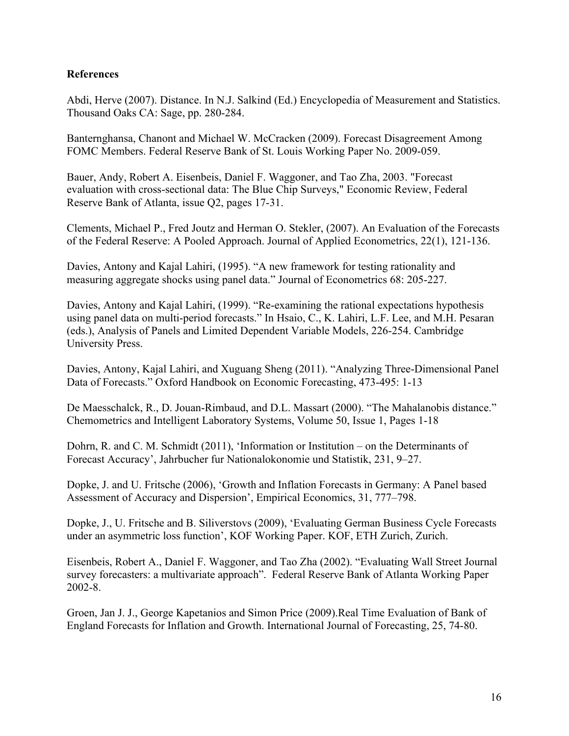#### **References**

Abdi, Herve (2007). Distance. In N.J. Salkind (Ed.) Encyclopedia of Measurement and Statistics. Thousand Oaks CA: Sage, pp. 280-284.

Banternghansa, Chanont and Michael W. McCracken (2009). Forecast Disagreement Among FOMC Members. Federal Reserve Bank of St. Louis Working Paper No. 2009-059.

Bauer, Andy, Robert A. Eisenbeis, Daniel F. Waggoner, and Tao Zha, 2003. "Forecast evaluation with cross-sectional data: The Blue Chip Surveys," Economic Review, Federal Reserve Bank of Atlanta, issue Q2, pages 17-31.

Clements, Michael P., Fred Joutz and Herman O. Stekler, (2007). An Evaluation of the Forecasts of the Federal Reserve: A Pooled Approach. Journal of Applied Econometrics, 22(1), 121-136.

Davies, Antony and Kajal Lahiri, (1995). "A new framework for testing rationality and measuring aggregate shocks using panel data." Journal of Econometrics 68: 205-227.

Davies, Antony and Kajal Lahiri, (1999). "Re-examining the rational expectations hypothesis using panel data on multi-period forecasts." In Hsaio, C., K. Lahiri, L.F. Lee, and M.H. Pesaran (eds.), Analysis of Panels and Limited Dependent Variable Models, 226-254. Cambridge University Press.

Davies, Antony, Kajal Lahiri, and Xuguang Sheng (2011). "Analyzing Three-Dimensional Panel Data of Forecasts." Oxford Handbook on Economic Forecasting, 473-495: 1-13

De Maesschalck, R., D. Jouan-Rimbaud, and D.L. Massart (2000). "The Mahalanobis distance." Chemometrics and Intelligent Laboratory Systems, Volume 50, Issue 1, Pages 1-18

Dohrn, R. and C. M. Schmidt (2011), 'Information or Institution – on the Determinants of Forecast Accuracy', Jahrbucher fur Nationalokonomie und Statistik, 231, 9–27.

Dopke, J. and U. Fritsche (2006), 'Growth and Inflation Forecasts in Germany: A Panel based Assessment of Accuracy and Dispersion', Empirical Economics, 31, 777–798.

Dopke, J., U. Fritsche and B. Siliverstovs (2009), 'Evaluating German Business Cycle Forecasts under an asymmetric loss function', KOF Working Paper. KOF, ETH Zurich, Zurich.

Eisenbeis, Robert A., Daniel F. Waggoner, and Tao Zha (2002). "Evaluating Wall Street Journal survey forecasters: a multivariate approach". Federal Reserve Bank of Atlanta Working Paper 2002-8.

Groen, Jan J. J., George Kapetanios and Simon Price (2009).Real Time Evaluation of Bank of England Forecasts for Inflation and Growth. International Journal of Forecasting, 25, 74-80.